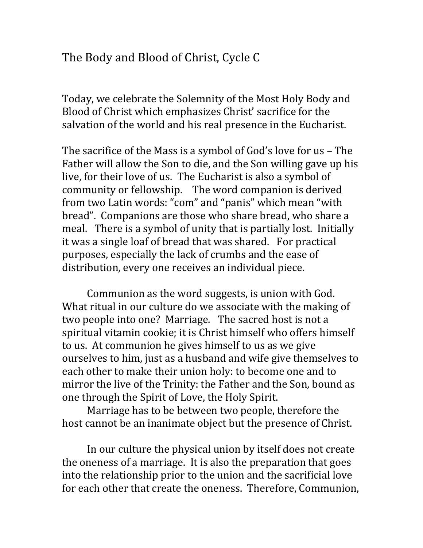## The Body and Blood of Christ, Cycle C

Today, we celebrate the Solemnity of the Most Holy Body and Blood of Christ which emphasizes Christ' sacrifice for the salvation of the world and his real presence in the Eucharist.

The sacrifice of the Mass is a symbol of God's love for us  $-$  The Father will allow the Son to die, and the Son willing gave up his live, for their love of us. The Eucharist is also a symbol of community or fellowship. The word companion is derived from two Latin words: "com" and "panis" which mean "with bread". Companions are those who share bread, who share a meal. There is a symbol of unity that is partially lost. Initially it was a single loaf of bread that was shared. For practical purposes, especially the lack of crumbs and the ease of distribution, every one receives an individual piece.

Communion as the word suggests, is union with God. What ritual in our culture do we associate with the making of two people into one? Marriage. The sacred host is not a spiritual vitamin cookie; it is Christ himself who offers himself to us. At communion he gives himself to us as we give ourselves to him, just as a husband and wife give themselves to each other to make their union holy: to become one and to mirror the live of the Trinity: the Father and the Son, bound as one through the Spirit of Love, the Holy Spirit.

Marriage has to be between two people, therefore the host cannot be an inanimate object but the presence of Christ.

In our culture the physical union by itself does not create the oneness of a marriage. It is also the preparation that goes into the relationship prior to the union and the sacrificial love for each other that create the oneness. Therefore, Communion,